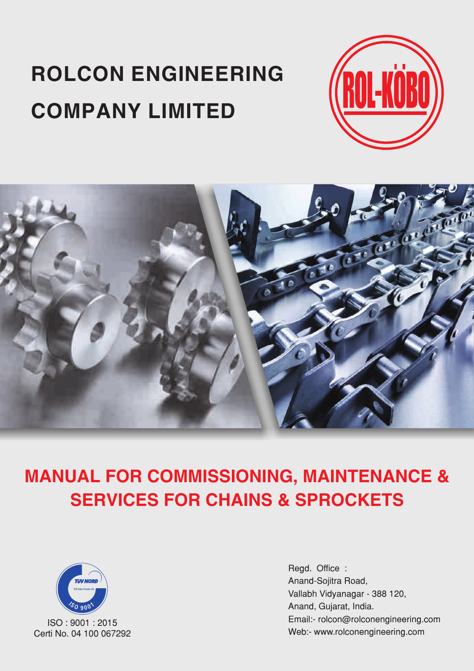# **ROLCON ENGINEERING COMPANY LIMITED**





**MANUAL FOR COMMISSIONING, MAINTENANCE & SERVICES FOR CHAINS & SPROCKETS**



ISO : 9001 : 2015 Certi No. 04 100 067292 Regd. Office : Anand-Sojitra Road, Vallabh Vidyanagar - 388 120, Anand, Gujarat, India. Email:- rolcon@rolconengineering.com Web:- www.rolconengineering.com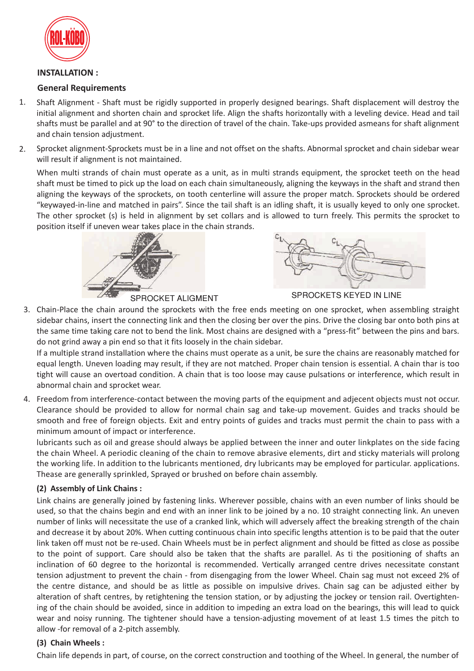

# **INSTALLATION :**

# **General Requirements**

- Shaft Alignment Shaft must be rigidly supported in properly designed bearings. Shaft displacement will destroy the initial alignment and shorten chain and sprocket life. Align the shafts horizontally with a leveling device. Head and tail shafts must be parallel and at 90° to the direction of travel of the chain. Take-ups provided asmeans for shaft alignment and chain tension adjustment. 1.
- Sprocket alignment-Sprockets must be in a line and not offset on the shafts. Abnormal sprocket and chain sidebar wear will result if alignment is not maintained. 2.

When multi strands of chain must operate as a unit, as in multi strands equipment, the sprocket teeth on the head shaft must be timed to pick up the load on each chain simultaneously, aligning the keyways in the shaft and strand then aligning the keyways of the sprockets, on tooth centerline will assure the proper match. Sprockets should be ordered "keywayed-in-line and matched in pairs". Since the tail shaft is an idling shaft, it is usually keyed to only one sprocket. The other sprocket (s) is held in alignment by set collars and is allowed to turn freely. This permits the sprocket to position itself if uneven wear takes place in the chain strands.



SPROCKET ALIGMENT SPROCKETS KEYED IN LINE

3. Chain-Place the chain around the sprockets with the free ends meeting on one sprocket, when assembling straight sidebar chains, insert the connecting link and then the closing ber over the pins. Drive the closing bar onto both pins at the same time taking care not to bend the link. Most chains are designed with a "press-fit" between the pins and bars. do not grind away a pin end so that it fits loosely in the chain sidebar.

If a multiple strand installation where the chains must operate as a unit, be sure the chains are reasonably matched for equal length. Uneven loading may result, if they are not matched. Proper chain tension is essential. A chain thar is too tight will cause an overtoad condition. A chain that is too loose may cause pulsations or interference, which result in abnormal chain and sprocket wear.

4. Freedom from interference-contact between the moving parts of the equipment and adjecent objects must not occur. Clearance should be provided to allow for normal chain sag and take-up movement. Guides and tracks should be smooth and free of foreign objects. Exit and entry points of guides and tracks must permit the chain to pass with a minimum amount of impact or interference.

lubricants such as oil and grease should always be applied between the inner and outer linkplates on the side facing the chain Wheel. A periodic cleaning of the chain to remove abrasive elements, dirt and sticky materials will prolong the working life. In addition to the lubricants mentioned, dry lubricants may be employed for particular. applications. Thease are generally sprinkled, Sprayed or brushed on before chain assembly.

### **(2) Assembly of Link Chains :**

Link chains are generally joined by fastening links. Wherever possible, chains with an even number of links should be used, so that the chains begin and end with an inner link to be joined by a no. 10 straight connecting link. An uneven number of links will necessitate the use of a cranked link, which will adversely affect the breaking strength of the chain and decrease it by about 20%. When cutting continuous chain into specific lengths attention is to be paid that the outer link taken off must not be re-used. Chain Wheels must be in perfect alignment and should be fitted as close as possibe to the point of support. Care should also be taken that the shafts are parallel. As ti the positioning of shafts an inclination of 60 degree to the horizontal is recommended. Vertically arranged centre drives necessitate constant tension adjustment to prevent the chain - from disengaging from the lower Wheel. Chain sag must not exceed 2% of the centre distance, and should be as little as possible on impulsive drives. Chain sag can be adjusted either by alteration of shaft centres, by retightening the tension station, or by adjusting the jockey or tension rail. Overtightening of the chain should be avoided, since in addition to impeding an extra load on the bearings, this will lead to quick wear and noisy running. The tightener should have a tension-adjusting movement of at least 1.5 times the pitch to allow -for removal of a 2-pitch assembly.

### **(3) Chain Wheels :**

Chain life depends in part, of course, on the correct construction and toothing of the Wheel. In general, the number of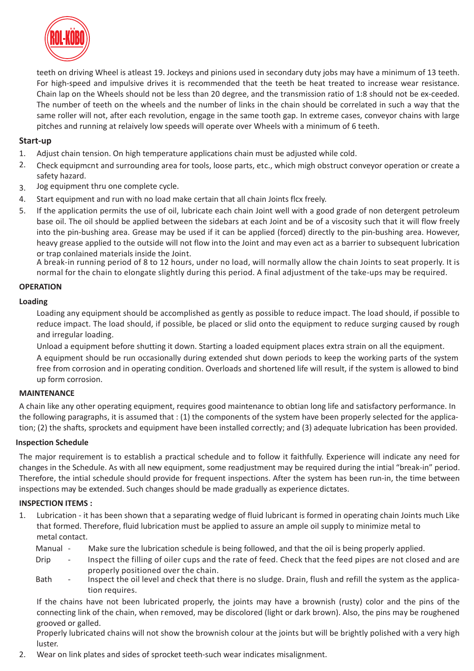

teeth on driving Wheel is atleast 19. Jockeys and pinions used in secondary duty jobs may have a minimum of 13 teeth. For high-speed and impulsive drives it is recommended that the teeth be heat treated to increase wear resistance. Chain lap on the Wheels should not be less than 20 degree, and the transmission ratio of 1:8 should not be ex-ceeded. The number of teeth on the wheels and the number of links in the chain should be correlated in such a way that the same roller will not, after each revolution, engage in the same tooth gap. In extreme cases, conveyor chains with large pitches and running at relaively low speeds will operate over Wheels with a minimum of 6 teeth.

### **Start-up**

- Adjust chain tension. On high temperature applications chain must be adjusted while cold. 1.
- Check equipmcnt and surrounding area for tools, loose parts, etc., which migh obstruct conveyor operation or create a safety hazard. 2.
- Jog equipment thru one complete cycle. 3.
- Start equipment and run with no load make certain that all chain Joints flcx freely. 4.
- If the application permits the use of oil, lubricate each chain Joint well with a good grade of non detergent petroleum base oil. The oil should be applied between the sidebars at each Joint and be of a viscosity such that it will flow freely into the pin-bushing area. Grease may be used if it can be applied (forced) directly to the pin-bushing area. However, heavy grease applied to the outside will not flow into the Joint and may even act as a barrier to subsequent lubrication or trap conlained materials inside the Joint. 5.

A break-in running period of 8 to 12 hours, under no load, will normally allow the chain Joints to seat properly. It is normal for the chain to elongate slightly during this period. A final adjustment of the take-ups may be required.

### **OPERATION**

### **Loading**

Loading any equipment should be accomplished as gently as possible to reduce impact. The load should, if possible to reduce impact. The load should, if possible, be placed or slid onto the equipment to reduce surging caused by rough and irregular loading.

Unload a equipment before shutting it down. Starting a loaded equipment places extra strain on all the equipment.

A equipment should be run occasionally during extended shut down periods to keep the working parts of the system free from corrosion and in operating condition. Overloads and shortened life will result, if the system is allowed to bind up form corrosion.

### **MAINTENANCE**

A chain like any other operating equipment, requires good maintenance to obtian long life and satisfactory performance. In the following paragraphs, it is assumed that : (1) the components of the system have been properly selected for the application; (2) the shafts, sprockets and equipment have been installed correctly; and (3) adequate lubrication has been provided.

### **Inspection Schedule**

The major requirement is to establish a practical schedule and to follow it faithfully. Experience will indicate any need for changes in the Schedule. As with all new equipment, some readjustment may be required during the intial "break-in" period. Therefore, the intial schedule should provide for frequent inspections. After the system has been run-in, the time between inspections may be extended. Such changes should be made gradually as experience dictates.

### **INSPECTION ITEMS :**

- Lubrication it has been shown that a separating wedge of fluid lubricant is formed in operating chain Joints much Like that formed. Therefore, fluid lubrication must be applied to assure an ample oil supply to minimize metal to metal contact. 1.
	- Make sure the lubrication schedule is being followed, and that the oil is being properly applied. Manual -
	- Inspect the filling of oiler cups and the rate of feed. Check that the feed pipes are not closed and are properly positioned over the chain. Drip
	- Inspect the oil level and check that there is no sludge. Drain, flush and refill the system as the application requires. **Bath**

If the chains have not been lubricated properly, the joints may have a brownish (rusty) color and the pins of the connecting link of the chain, when removed, may be discolored (light or dark brown). Also, the pins may be roughened grooved or galled.

Properly lubricated chains will not show the brownish colour at the joints but will be brightly polished with a very high luster.

Wear on link plates and sides of sprocket teeth-such wear indicates misalignment. 2.